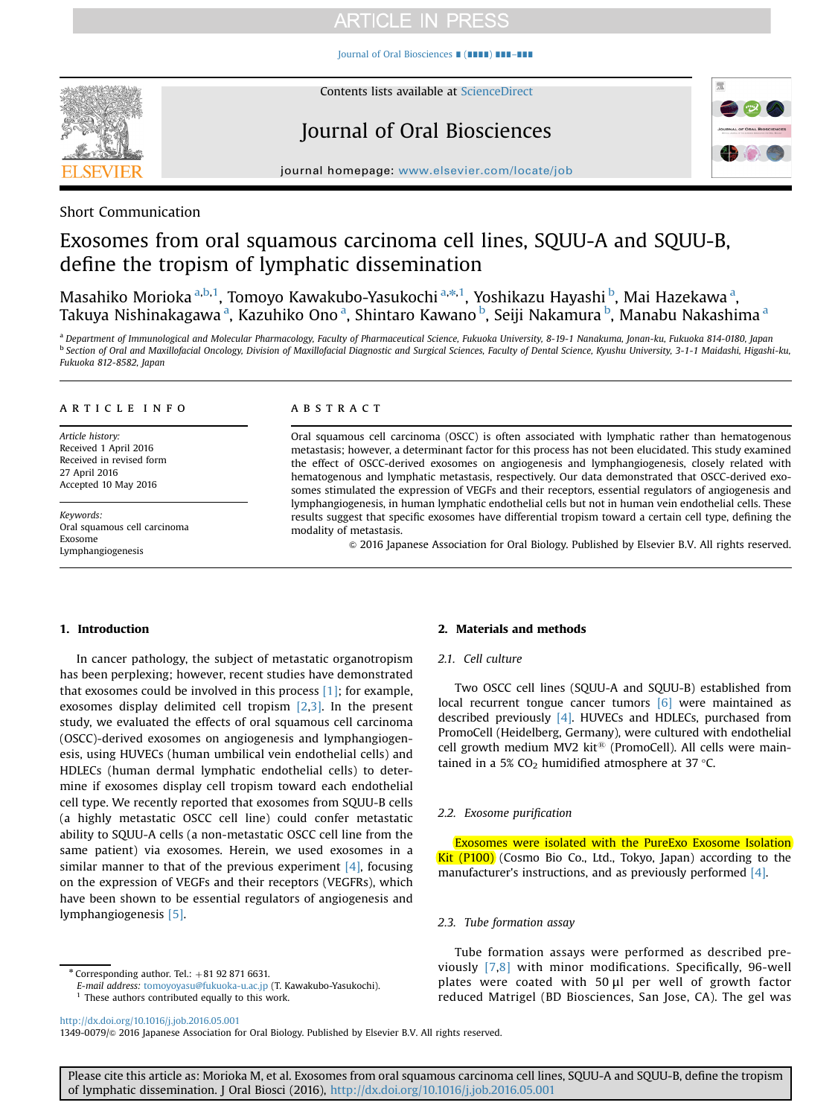[Journal of Oral Biosciences](http://dx.doi.org/10.1016/j.job.2016.05.001) ∎ (∎∎∎∎) ∎∎∎–∎∎∎



Contents lists available at [ScienceDirect](www.sciencedirect.com/science/journal/13490079)

# Journal of Oral Biosciences



journal homepage: <www.elsevier.com/locate/job>

# Short Communication

# Exosomes from oral squamous carcinoma cell lines, SQUU-A and SQUU-B, define the tropism of lymphatic dissemination

Masahiko Morioka <sup>a,b,1</sup>, Tomoyo Kawakubo-Yasukochi <sup>a, $\ast,1$ </sup>, Yoshikazu Hayashi <sup>b</sup>, Mai Hazekawa <sup>a</sup>, Takuya Nishinakagawa <sup>a</sup>, Kazuhiko Ono <sup>a</sup>, Shintaro Kawano <sup>b</sup>, Seiji Nakamura <sup>b</sup>, Manabu Nakashima <sup>a</sup>

a Department of Immunological and Molecular Pharmacology, Faculty of Pharmaceutical Science, Fukuoka University, 8-19-1 Nanakuma, Jonan-ku, Fukuoka 814-0180, Japan **b Section of Oral and Maxillofacial Oncology, Division of Maxillofacial Diagnostic and Surgical Sciences, Faculty of Dental Science, Kyushu University, 3-1-1 Maidashi, Higashi-ku,** Fukuoka 812-8582, Japan

#### article info

Article history: Received 1 April 2016 Received in revised form 27 April 2016 Accepted 10 May 2016

Keywords: Oral squamous cell carcinoma Exosome Lymphangiogenesis

#### **ABSTRACT**

Oral squamous cell carcinoma (OSCC) is often associated with lymphatic rather than hematogenous metastasis; however, a determinant factor for this process has not been elucidated. This study examined the effect of OSCC-derived exosomes on angiogenesis and lymphangiogenesis, closely related with hematogenous and lymphatic metastasis, respectively. Our data demonstrated that OSCC-derived exosomes stimulated the expression of VEGFs and their receptors, essential regulators of angiogenesis and lymphangiogenesis, in human lymphatic endothelial cells but not in human vein endothelial cells. These results suggest that specific exosomes have differential tropism toward a certain cell type, defining the modality of metastasis.

& 2016 Japanese Association for Oral Biology. Published by Elsevier B.V. All rights reserved.

## 1. Introduction

In cancer pathology, the subject of metastatic organotropism has been perplexing; however, recent studies have demonstrated that exosomes could be involved in this process [\[1\]](#page-4-0); for example, exosomes display delimited cell tropism [\[2,3\].](#page-4-0) In the present study, we evaluated the effects of oral squamous cell carcinoma (OSCC)-derived exosomes on angiogenesis and lymphangiogenesis, using HUVECs (human umbilical vein endothelial cells) and HDLECs (human dermal lymphatic endothelial cells) to determine if exosomes display cell tropism toward each endothelial cell type. We recently reported that exosomes from SQUU-B cells (a highly metastatic OSCC cell line) could confer metastatic ability to SQUU-A cells (a non-metastatic OSCC cell line from the same patient) via exosomes. Herein, we used exosomes in a similar manner to that of the previous experiment  $[4]$ , focusing on the expression of VEGFs and their receptors (VEGFRs), which have been shown to be essential regulators of angiogenesis and lymphangiogenesis [\[5\]](#page-4-0).

# $*$  Corresponding author. Tel.:  $+81$  92 871 6631.

E-mail address: [tomoyoyasu@fukuoka-u.ac.jp](mailto:tomoyoyasu@fukuoka-u.ac.jp) (T. Kawakubo-Yasukochi).  $1$  These authors contributed equally to this work.

## 2. Materials and methods

#### 2.1. Cell culture

Two OSCC cell lines (SQUU-A and SQUU-B) established from local recurrent tongue cancer tumors [\[6\]](#page-4-0) were maintained as described previously [\[4\]](#page-4-0). HUVECs and HDLECs, purchased from PromoCell (Heidelberg, Germany), were cultured with endothelial cell growth medium MV2 kit<sup>®</sup> (PromoCell). All cells were maintained in a 5% CO<sub>2</sub> humidified atmosphere at 37  $\degree$ C.

# 2.2. Exosome purification

Exosomes were isolated with the PureExo Exosome Isolation **Kit (P100)** (Cosmo Bio Co., Ltd., Tokyo, Japan) according to the manufacturer's instructions, and as previously performed [\[4\]](#page-4-0).

# 2.3. Tube formation assay

Tube formation assays were performed as described previously [\[7,8\]](#page-4-0) with minor modifications. Specifically, 96-well plates were coated with 50 μl per well of growth factor reduced Matrigel (BD Biosciences, San Jose, CA). The gel was

<http://dx.doi.org/10.1016/j.job.2016.05.001>

1349-0079/ $\circ$  2016 Japanese Association for Oral Biology. Published by Elsevier B.V. All rights reserved.

Please cite this article as: Morioka M, et al. Exosomes from oral squamous carcinoma cell lines, SQUU-A and SQUU-B, define the tropism of lymphatic dissemination. J Oral Biosci (2016), [http://dx.doi.org/10.1016/j.job.2016.05.001i](http://dx.doi.org/10.1016/j.job.2016.05.001)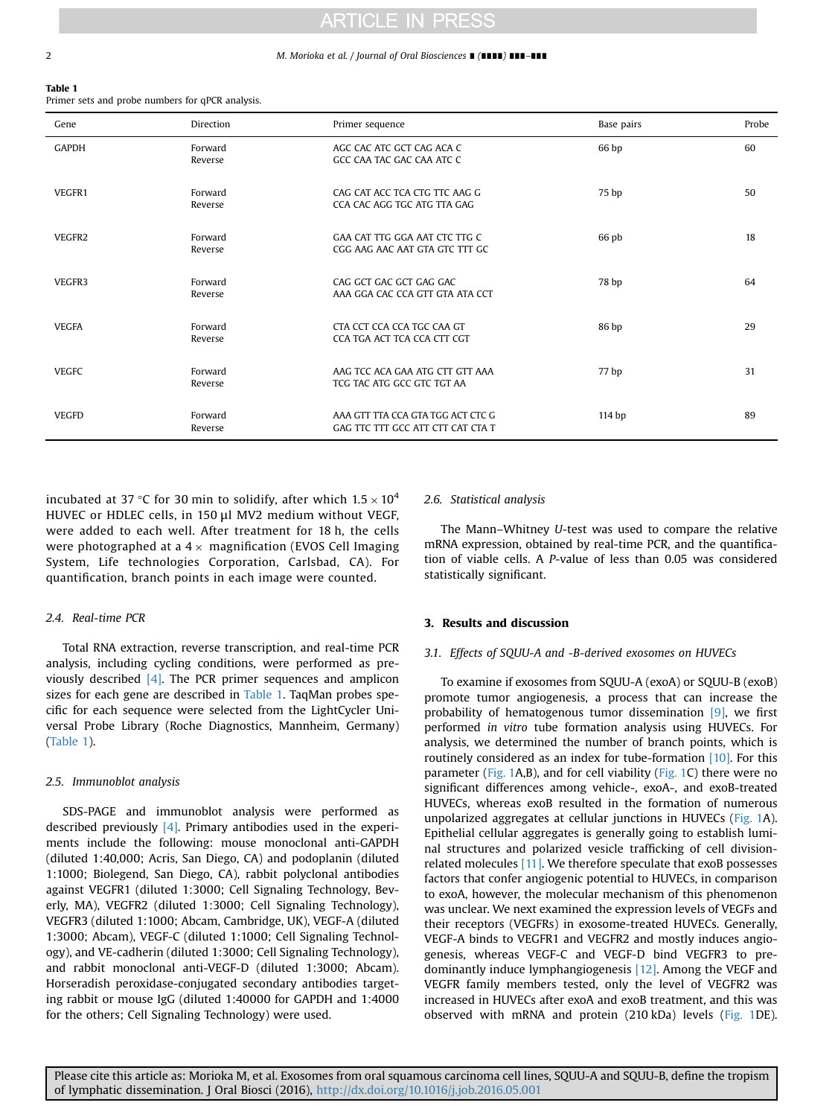#### 2 M. Morioka et al. / Journal of Oral Biosciences ∎ (∎∎∎∎) ∎∎∎–∎∎∎

#### Table 1

Primer sets and probe numbers for qPCR analysis.

| Gene         | THILLE SCLS and prope numbers for quen analysis.<br>Direction | Primer sequence                                                        | Base pairs | Probe |
|--------------|---------------------------------------------------------------|------------------------------------------------------------------------|------------|-------|
| <b>GAPDH</b> | Forward<br>Reverse                                            | AGC CAC ATC GCT CAG ACA C<br>GCC CAA TAC GAC CAA ATC C                 | 66 bp      | 60    |
| VEGFR1       | Forward<br>Reverse                                            | CAG CAT ACC TCA CTG TTC AAG G<br>CCA CAC AGG TGC ATG TTA GAG           | 75 bp      | 50    |
| VEGFR2       | Forward<br>Reverse                                            | GAA CAT TTG GGA AAT CTC TTG C<br>CGG AAG AAC AAT GTA GTC TTT GC        | 66 pb      | 18    |
| VEGFR3       | Forward<br>Reverse                                            | CAG GCT GAC GCT GAG GAC<br>AAA GGA CAC CCA GTT GTA ATA CCT             | 78 bp      | 64    |
| <b>VEGFA</b> | Forward<br>Reverse                                            | CTA CCT CCA CCA TGC CAA GT<br>CCA TGA ACT TCA CCA CTT CGT              | 86 bp      | 29    |
| <b>VEGFC</b> | Forward<br>Reverse                                            | AAG TCC ACA GAA ATG CTT GTT AAA<br>TCG TAC ATG GCC GTC TGT AA          | 77 bp      | 31    |
| <b>VEGFD</b> | Forward<br>Reverse                                            | AAA GTT TTA CCA GTA TGG ACT CTC G<br>GAG TTC TTT GCC ATT CTT CAT CTA T | 114 bp     | 89    |

incubated at 37 °C for 30 min to solidify, after which 1.5  $\times$  10<sup>4</sup> HUVEC or HDLEC cells, in 150 μl MV2 medium without VEGF, were added to each well. After treatment for 18 h, the cells were photographed at a 4  $\times$  magnification (EVOS Cell Imaging System, Life technologies Corporation, Carlsbad, CA). For quantification, branch points in each image were counted.

# 2.4. Real-time PCR

Total RNA extraction, reverse transcription, and real-time PCR analysis, including cycling conditions, were performed as previously described [\[4\].](#page-4-0) The PCR primer sequences and amplicon sizes for each gene are described in Table 1. TaqMan probes specific for each sequence were selected from the LightCycler Universal Probe Library (Roche Diagnostics, Mannheim, Germany) (Table 1).

#### 2.5. Immunoblot analysis

SDS-PAGE and immunoblot analysis were performed as described previously  $[4]$ . Primary antibodies used in the experiments include the following: mouse monoclonal anti-GAPDH (diluted 1:40,000; Acris, San Diego, CA) and podoplanin (diluted 1:1000; Biolegend, San Diego, CA), rabbit polyclonal antibodies against VEGFR1 (diluted 1:3000; Cell Signaling Technology, Beverly, MA), VEGFR2 (diluted 1:3000; Cell Signaling Technology), VEGFR3 (diluted 1:1000; Abcam, Cambridge, UK), VEGF-A (diluted 1:3000; Abcam), VEGF-C (diluted 1:1000; Cell Signaling Technology), and VE-cadherin (diluted 1:3000; Cell Signaling Technology), and rabbit monoclonal anti-VEGF-D (diluted 1:3000; Abcam). Horseradish peroxidase-conjugated secondary antibodies targeting rabbit or mouse IgG (diluted 1:40000 for GAPDH and 1:4000 for the others; Cell Signaling Technology) were used.

# 2.6. Statistical analysis

The Mann–Whitney U-test was used to compare the relative mRNA expression, obtained by real-time PCR, and the quantification of viable cells. A P-value of less than 0.05 was considered statistically significant.

### 3. Results and discussion

### 3.1. Effects of SQUU-A and -B-derived exosomes on HUVECs

To examine if exosomes from SQUU-A (exoA) or SQUU-B (exoB) promote tumor angiogenesis, a process that can increase the probability of hematogenous tumor dissemination [\[9\],](#page-4-0) we first performed in vitro tube formation analysis using HUVECs. For analysis, we determined the number of branch points, which is routinely considered as an index for tube-formation [\[10\]](#page-4-0). For this parameter ([Fig. 1](#page-2-0)A,B), and for cell viability ([Fig. 1](#page-2-0)C) there were no significant differences among vehicle-, exoA-, and exoB-treated HUVECs, whereas exoB resulted in the formation of numerous unpolarized aggregates at cellular junctions in HUVECs ([Fig. 1](#page-2-0)A). Epithelial cellular aggregates is generally going to establish luminal structures and polarized vesicle trafficking of cell divisionrelated molecules [\[11\]](#page-4-0). We therefore speculate that exoB possesses factors that confer angiogenic potential to HUVECs, in comparison to exoA, however, the molecular mechanism of this phenomenon was unclear. We next examined the expression levels of VEGFs and their receptors (VEGFRs) in exosome-treated HUVECs. Generally, VEGF-A binds to VEGFR1 and VEGFR2 and mostly induces angiogenesis, whereas VEGF-C and VEGF-D bind VEGFR3 to predominantly induce lymphangiogenesis [\[12\].](#page-4-0) Among the VEGF and VEGFR family members tested, only the level of VEGFR2 was increased in HUVECs after exoA and exoB treatment, and this was observed with mRNA and protein (210 kDa) levels [\(Fig. 1](#page-2-0)DE).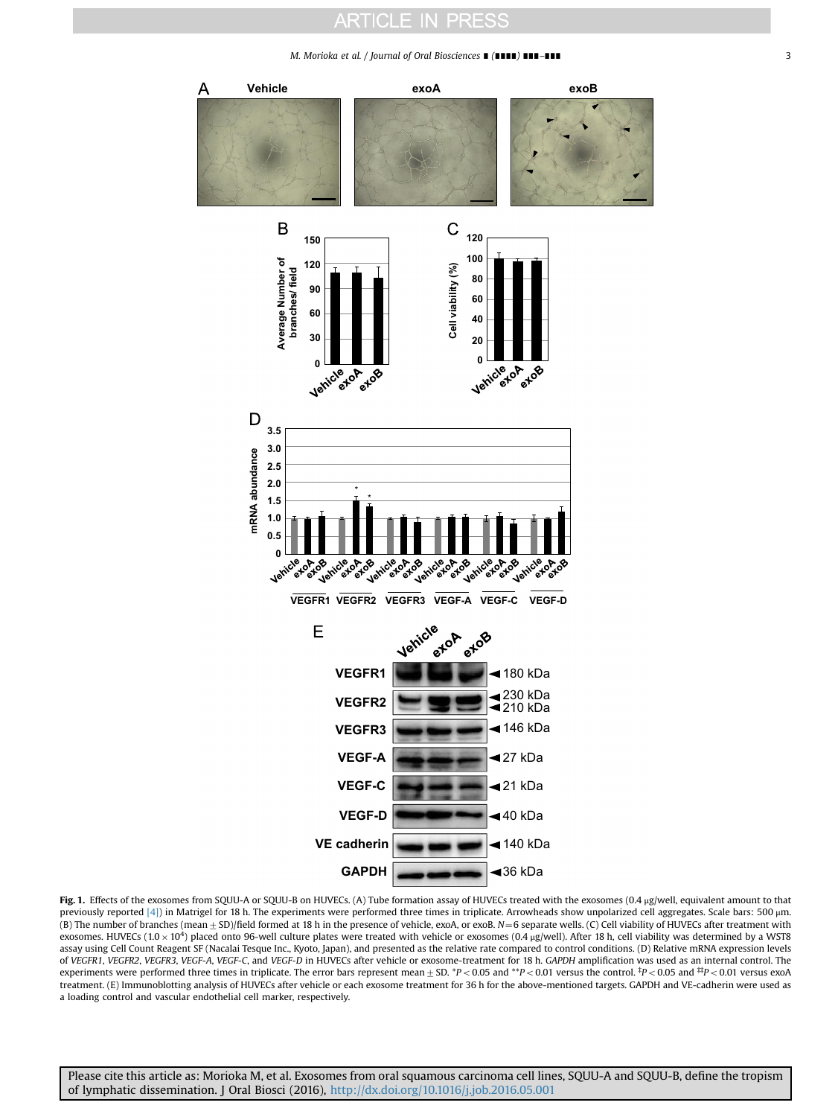#### M. Morioka et al. / Journal of Oral Biosciences ∎ (∎∎∎∎) ∎∎∎–∎∎∎ 3

<span id="page-2-0"></span>

Fig. 1. Effects of the exosomes from SQUU-A or SQUU-B on HUVECs. (A) Tube formation assay of HUVECs treated with the exosomes (0.4 µg/well, equivalent amount to that previously reported [\[4\]\)](#page-4-0) in Matrigel for 18 h. The experiments were performed three times in triplicate. Arrowheads show unpolarized cell aggregates. Scale bars: 500 μm. (B) The number of branches (mean  $\pm$  SD)/field formed at 18 h in the presence of vehicle, exoA, or exoB. N=6 separate wells. (C) Cell viability of HUVECs after treatment with exosomes. HUVECs (1.0  $\times$  10<sup>4</sup>) placed onto 96-well culture plates were treated with vehicle or exosomes (0.4  $\mu$ g/well). After 18 h, cell viability was determined by a WST8 assay using Cell Count Reagent SF (Nacalai Tesque Inc., Kyoto, Japan), and presented as the relative rate compared to control conditions. (D) Relative mRNA expression levels of VEGFR1, VEGFR2, VEGFR3, VEGF-A, VEGF-C, and VEGF-D in HUVECs after vehicle or exosome-treatment for 18 h. GAPDH amplification was used as an internal control. The experiments were performed three times in triplicate. The error bars represent mean  $\pm$  SD. \*P< 0.05 and \*\*P< 0.01 versus the control. \*P< 0.05 and \*\*P< 0.01 versus exoA treatment. (E) Immunoblotting analysis of HUVECs after vehicle or each exosome treatment for 36 h for the above-mentioned targets. GAPDH and VE-cadherin were used as a loading control and vascular endothelial cell marker, respectively.

Please cite this article as: Morioka M, et al. Exosomes from oral squamous carcinoma cell lines, SQUU-A and SQUU-B, define the tropism of lymphatic dissemination. J Oral Biosci (2016), [http://dx.doi.org/10.1016/j.job.2016.05.001i](http://dx.doi.org/10.1016/j.job.2016.05.001)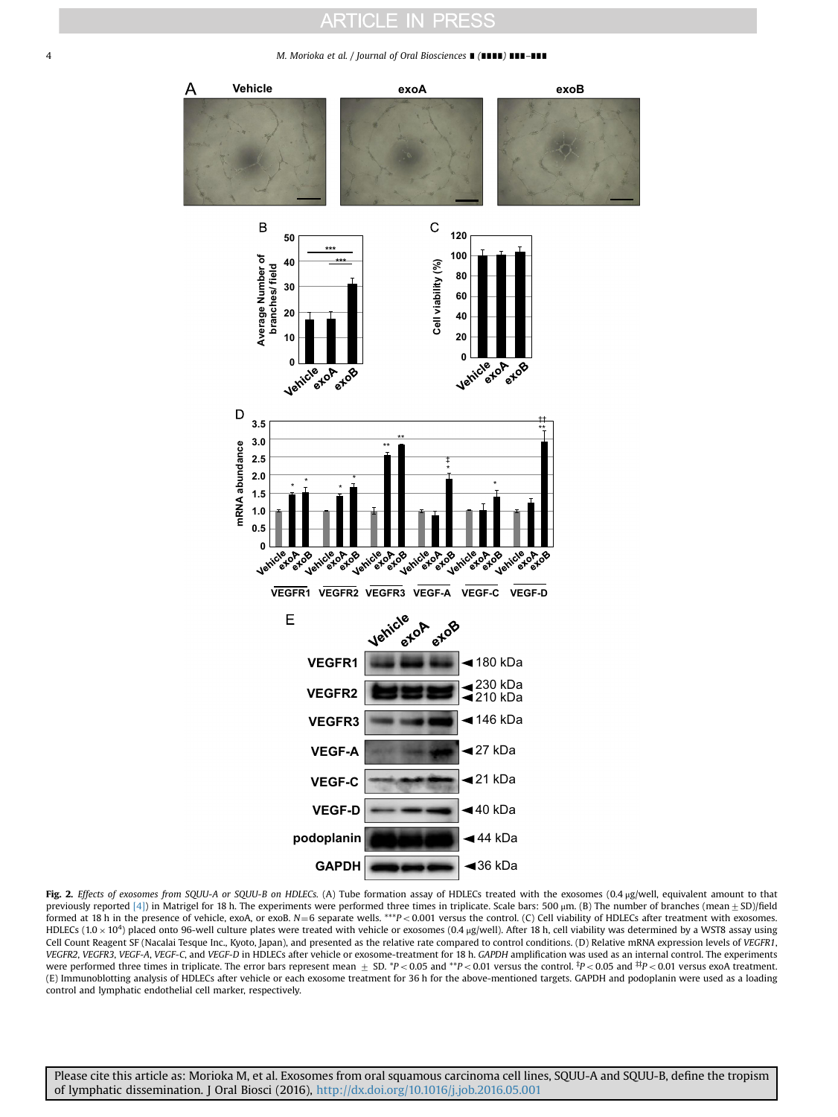#### <span id="page-3-0"></span>4 M. Morioka et al. / Journal of Oral Biosciences ∎ (∎∎∎∎) ∎∎∎–∎∎∎



Fig. 2. Effects of exosomes from SQUU-A or SQUU-B on HDLECs. (A) Tube formation assay of HDLECs treated with the exosomes (0.4 μg/well, equivalent amount to that previously reported [\[4\]](#page-4-0)) in Matrigel for 18 h. The experiments were performed three times in triplicate. Scale bars: 500  $\mu$ m. (B) The number of branches (mean  $\pm$  SD)/field formed at 18 h in the presence of vehicle, exoA, or exoB.  $N=6$  separate wells. \*\*\*P < 0.001 versus the control. (C) Cell viability of HDLECs after treatment with exosomes. HDLECs  $(1.0 \times 10^4)$  placed onto 96-well culture plates were treated with vehicle or exosomes  $(0.4 \text{ µg/well}).$  After 18 h, cell viability was determined by a WST8 assay using Cell Count Reagent SF (Nacalai Tesque Inc., Kyoto, Japan), and presented as the relative rate compared to control conditions. (D) Relative mRNA expression levels of VEGFR1, VEGFR2, VEGFR3, VEGF-A, VEGF-C, and VEGF-D in HDLECs after vehicle or exosome-treatment for 18 h. GAPDH amplification was used as an internal control. The experiments were performed three times in triplicate. The error bars represent mean  $\pm$  SD. \*P< 0.05 and \*\*P< 0.01 versus the control. <sup>‡</sup>P< 0.05 and <sup>#t</sup>P< 0.01 versus exoA treatment. (E) Immunoblotting analysis of HDLECs after vehicle or each exosome treatment for 36 h for the above-mentioned targets. GAPDH and podoplanin were used as a loading control and lymphatic endothelial cell marker, respectively.